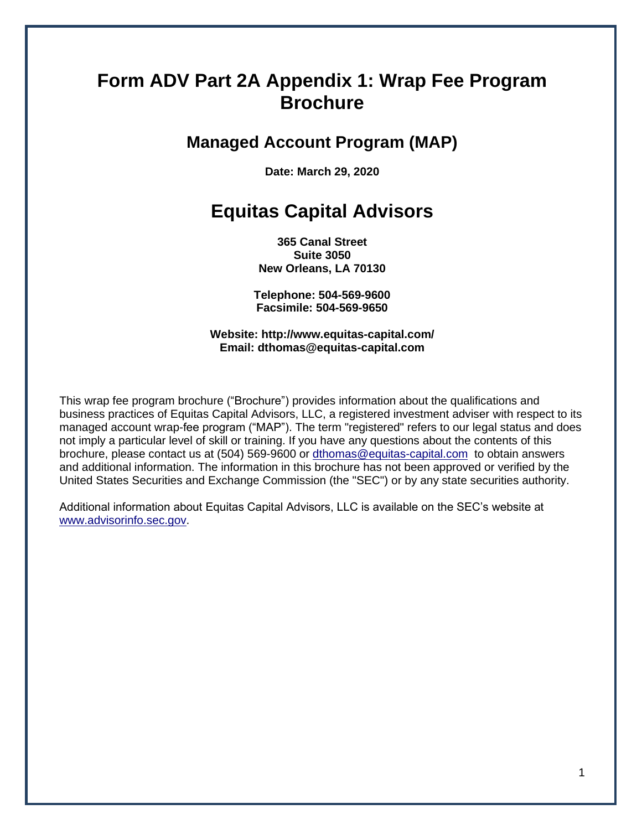# **Form ADV Part 2A Appendix 1: Wrap Fee Program Brochure**

# **Managed Account Program (MAP)**

**Date: March 29, 2020**

# **Equitas Capital Advisors**

**365 Canal Street Suite 3050 New Orleans, LA 70130**

**Telephone: 504-569-9600 Facsimile: 504-569-9650**

**Website: http://www.equitas-capital.com/ Email: dthomas@equitas-capital.com**

This wrap fee program brochure ("Brochure") provides information about the qualifications and business practices of Equitas Capital Advisors, LLC, a registered investment adviser with respect to its managed account wrap-fee program ("MAP"). The term "registered" refers to our legal status and does not imply a particular level of skill or training. If you have any questions about the contents of this brochure, please contact us at (504) 569-9600 or [dthomas@equitas-capital.com](mailto:dthomas@equitas-capital.com) to obtain answers and additional information. The information in this brochure has not been approved or verified by the United States Securities and Exchange Commission (the "SEC") or by any state securities authority.

Additional information about Equitas Capital Advisors, LLC is available on the SEC's website at [www.advisorinfo.sec.gov.](http://www.advisorinfo.sec.gov/)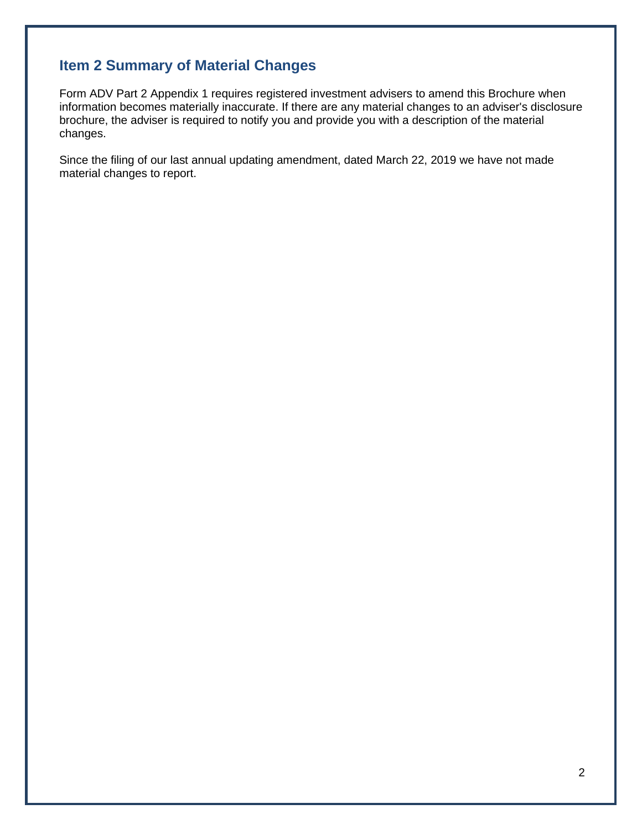## <span id="page-1-0"></span>**Item 2 Summary of Material Changes**

Form ADV Part 2 Appendix 1 requires registered investment advisers to amend this Brochure when information becomes materially inaccurate. If there are any material changes to an adviser's disclosure brochure, the adviser is required to notify you and provide you with a description of the material changes.

Since the filing of our last annual updating amendment, dated March 22, 2019 we have not made material changes to report.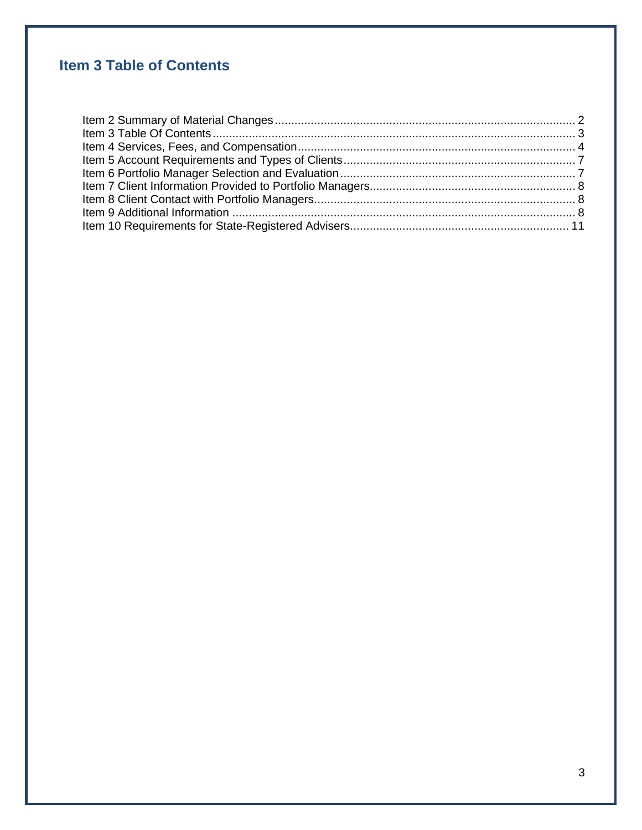# <span id="page-2-0"></span>**Item 3 Table of Contents**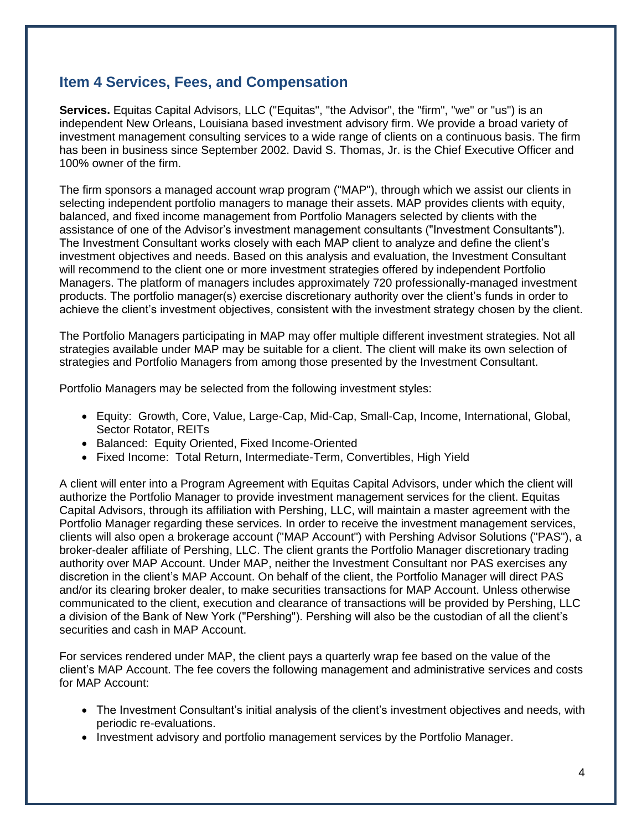## <span id="page-3-0"></span>**Item 4 Services, Fees, and Compensation**

**Services.** Equitas Capital Advisors, LLC ("Equitas", "the Advisor", the "firm", "we" or "us") is an independent New Orleans, Louisiana based investment advisory firm. We provide a broad variety of investment management consulting services to a wide range of clients on a continuous basis. The firm has been in business since September 2002. David S. Thomas, Jr. is the Chief Executive Officer and 100% owner of the firm.

The firm sponsors a managed account wrap program ("MAP"), through which we assist our clients in selecting independent portfolio managers to manage their assets. MAP provides clients with equity, balanced, and fixed income management from Portfolio Managers selected by clients with the assistance of one of the Advisor's investment management consultants ("Investment Consultants"). The Investment Consultant works closely with each MAP client to analyze and define the client's investment objectives and needs. Based on this analysis and evaluation, the Investment Consultant will recommend to the client one or more investment strategies offered by independent Portfolio Managers. The platform of managers includes approximately 720 professionally-managed investment products. The portfolio manager(s) exercise discretionary authority over the client's funds in order to achieve the client's investment objectives, consistent with the investment strategy chosen by the client.

The Portfolio Managers participating in MAP may offer multiple different investment strategies. Not all strategies available under MAP may be suitable for a client. The client will make its own selection of strategies and Portfolio Managers from among those presented by the Investment Consultant.

Portfolio Managers may be selected from the following investment styles:

- Equity: Growth, Core, Value, Large-Cap, Mid-Cap, Small-Cap, Income, International, Global, Sector Rotator, REITs
- Balanced: Equity Oriented, Fixed Income-Oriented
- Fixed Income: Total Return, Intermediate-Term, Convertibles, High Yield

A client will enter into a Program Agreement with Equitas Capital Advisors, under which the client will authorize the Portfolio Manager to provide investment management services for the client. Equitas Capital Advisors, through its affiliation with Pershing, LLC, will maintain a master agreement with the Portfolio Manager regarding these services. In order to receive the investment management services, clients will also open a brokerage account ("MAP Account") with Pershing Advisor Solutions ("PAS"), a broker-dealer affiliate of Pershing, LLC. The client grants the Portfolio Manager discretionary trading authority over MAP Account. Under MAP, neither the Investment Consultant nor PAS exercises any discretion in the client's MAP Account. On behalf of the client, the Portfolio Manager will direct PAS and/or its clearing broker dealer, to make securities transactions for MAP Account. Unless otherwise communicated to the client, execution and clearance of transactions will be provided by Pershing, LLC a division of the Bank of New York ("Pershing"). Pershing will also be the custodian of all the client's securities and cash in MAP Account.

For services rendered under MAP, the client pays a quarterly wrap fee based on the value of the client's MAP Account. The fee covers the following management and administrative services and costs for MAP Account:

- The Investment Consultant's initial analysis of the client's investment objectives and needs, with periodic re-evaluations.
- Investment advisory and portfolio management services by the Portfolio Manager.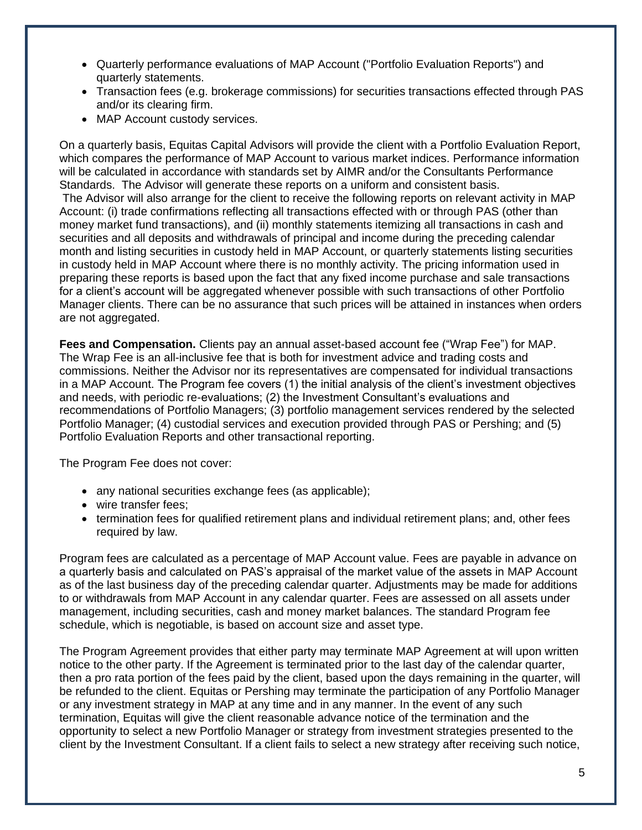- Quarterly performance evaluations of MAP Account ("Portfolio Evaluation Reports") and quarterly statements.
- Transaction fees (e.g. brokerage commissions) for securities transactions effected through PAS and/or its clearing firm.
- MAP Account custody services.

On a quarterly basis, Equitas Capital Advisors will provide the client with a Portfolio Evaluation Report, which compares the performance of MAP Account to various market indices. Performance information will be calculated in accordance with standards set by AIMR and/or the Consultants Performance Standards. The Advisor will generate these reports on a uniform and consistent basis.

The Advisor will also arrange for the client to receive the following reports on relevant activity in MAP Account: (i) trade confirmations reflecting all transactions effected with or through PAS (other than money market fund transactions), and (ii) monthly statements itemizing all transactions in cash and securities and all deposits and withdrawals of principal and income during the preceding calendar month and listing securities in custody held in MAP Account, or quarterly statements listing securities in custody held in MAP Account where there is no monthly activity. The pricing information used in preparing these reports is based upon the fact that any fixed income purchase and sale transactions for a client's account will be aggregated whenever possible with such transactions of other Portfolio Manager clients. There can be no assurance that such prices will be attained in instances when orders are not aggregated.

**Fees and Compensation.** Clients pay an annual asset-based account fee ("Wrap Fee") for MAP. The Wrap Fee is an all-inclusive fee that is both for investment advice and trading costs and commissions. Neither the Advisor nor its representatives are compensated for individual transactions in a MAP Account. The Program fee covers (1) the initial analysis of the client's investment objectives and needs, with periodic re-evaluations; (2) the Investment Consultant's evaluations and recommendations of Portfolio Managers; (3) portfolio management services rendered by the selected Portfolio Manager; (4) custodial services and execution provided through PAS or Pershing; and (5) Portfolio Evaluation Reports and other transactional reporting.

The Program Fee does not cover:

- any national securities exchange fees (as applicable);
- wire transfer fees:
- termination fees for qualified retirement plans and individual retirement plans; and, other fees required by law.

Program fees are calculated as a percentage of MAP Account value. Fees are payable in advance on a quarterly basis and calculated on PAS's appraisal of the market value of the assets in MAP Account as of the last business day of the preceding calendar quarter. Adjustments may be made for additions to or withdrawals from MAP Account in any calendar quarter. Fees are assessed on all assets under management, including securities, cash and money market balances. The standard Program fee schedule, which is negotiable, is based on account size and asset type.

The Program Agreement provides that either party may terminate MAP Agreement at will upon written notice to the other party. If the Agreement is terminated prior to the last day of the calendar quarter, then a pro rata portion of the fees paid by the client, based upon the days remaining in the quarter, will be refunded to the client. Equitas or Pershing may terminate the participation of any Portfolio Manager or any investment strategy in MAP at any time and in any manner. In the event of any such termination, Equitas will give the client reasonable advance notice of the termination and the opportunity to select a new Portfolio Manager or strategy from investment strategies presented to the client by the Investment Consultant. If a client fails to select a new strategy after receiving such notice,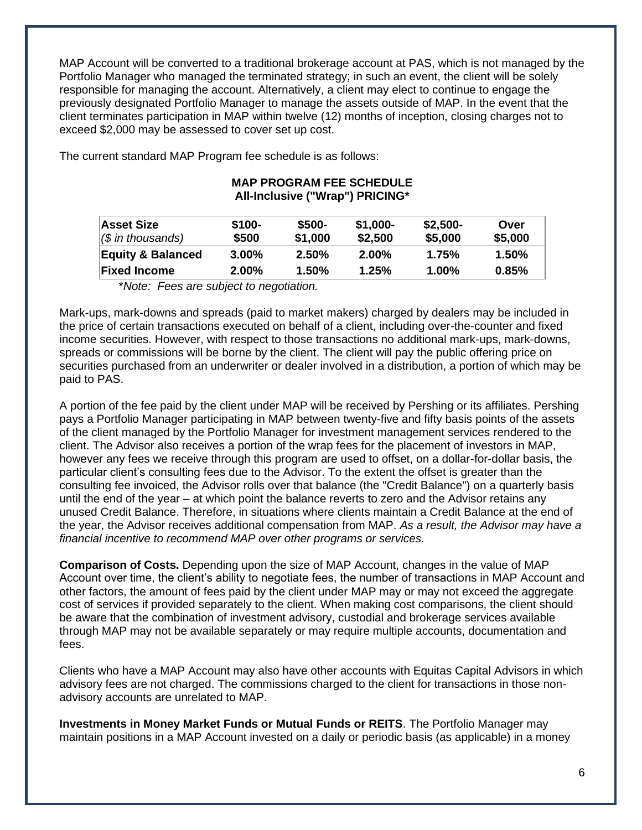MAP Account will be converted to a traditional brokerage account at PAS, which is not managed by the Portfolio Manager who managed the terminated strategy; in such an event, the client will be solely responsible for managing the account. Alternatively, a client may elect to continue to engage the previously designated Portfolio Manager to manage the assets outside of MAP. In the event that the client terminates participation in MAP within twelve (12) months of inception, closing charges not to exceed \$2,000 may be assessed to cover set up cost.

> **MAP PROGRAM FEE SCHEDULE All-Inclusive ("Wrap") PRICING\***

| Asset Size<br>$\sqrt{\$}$ in thousands) | \$100-<br>\$500 | \$500-<br>\$1,000 | $$1,000-$<br>\$2,500 | $$2,500-$<br>\$5,000 | Over<br>\$5,000 |
|-----------------------------------------|-----------------|-------------------|----------------------|----------------------|-----------------|
| <b>Equity &amp; Balanced</b>            | $3.00\%$        | 2.50%             | $2.00\%$             | 1.75%                | 1.50%           |
| <b>Fixed Income</b>                     | $2.00\%$        | 1.50%             | 1.25%                | $1.00\%$             | 0.85%           |

The current standard MAP Program fee schedule is as follows:

\**Note: Fees are subject to negotiation.*

Mark-ups, mark-downs and spreads (paid to market makers) charged by dealers may be included in the price of certain transactions executed on behalf of a client, including over-the-counter and fixed income securities. However, with respect to those transactions no additional mark-ups, mark-downs, spreads or commissions will be borne by the client. The client will pay the public offering price on securities purchased from an underwriter or dealer involved in a distribution, a portion of which may be paid to PAS.

A portion of the fee paid by the client under MAP will be received by Pershing or its affiliates. Pershing pays a Portfolio Manager participating in MAP between twenty-five and fifty basis points of the assets of the client managed by the Portfolio Manager for investment management services rendered to the client. The Advisor also receives a portion of the wrap fees for the placement of investors in MAP, however any fees we receive through this program are used to offset, on a dollar-for-dollar basis, the particular client's consulting fees due to the Advisor. To the extent the offset is greater than the consulting fee invoiced, the Advisor rolls over that balance (the "Credit Balance") on a quarterly basis until the end of the year – at which point the balance reverts to zero and the Advisor retains any unused Credit Balance. Therefore, in situations where clients maintain a Credit Balance at the end of the year, the Advisor receives additional compensation from MAP. *As a result, the Advisor may have a financial incentive to recommend MAP over other programs or services.*

**Comparison of Costs.** Depending upon the size of MAP Account, changes in the value of MAP Account over time, the client's ability to negotiate fees, the number of transactions in MAP Account and other factors, the amount of fees paid by the client under MAP may or may not exceed the aggregate cost of services if provided separately to the client. When making cost comparisons, the client should be aware that the combination of investment advisory, custodial and brokerage services available through MAP may not be available separately or may require multiple accounts, documentation and fees.

Clients who have a MAP Account may also have other accounts with Equitas Capital Advisors in which advisory fees are not charged. The commissions charged to the client for transactions in those nonadvisory accounts are unrelated to MAP.

**Investments in Money Market Funds or Mutual Funds or REITS**. The Portfolio Manager may maintain positions in a MAP Account invested on a daily or periodic basis (as applicable) in a money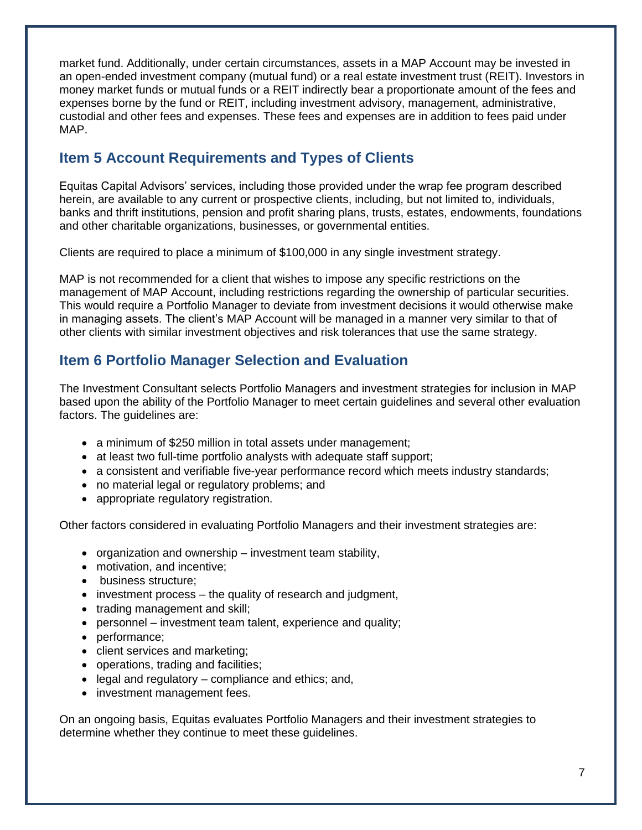market fund. Additionally, under certain circumstances, assets in a MAP Account may be invested in an open-ended investment company (mutual fund) or a real estate investment trust (REIT). Investors in money market funds or mutual funds or a REIT indirectly bear a proportionate amount of the fees and expenses borne by the fund or REIT, including investment advisory, management, administrative, custodial and other fees and expenses. These fees and expenses are in addition to fees paid under MAP.

## <span id="page-6-0"></span>**Item 5 Account Requirements and Types of Clients**

Equitas Capital Advisors' services, including those provided under the wrap fee program described herein, are available to any current or prospective clients, including, but not limited to, individuals, banks and thrift institutions, pension and profit sharing plans, trusts, estates, endowments, foundations and other charitable organizations, businesses, or governmental entities.

Clients are required to place a minimum of \$100,000 in any single investment strategy.

MAP is not recommended for a client that wishes to impose any specific restrictions on the management of MAP Account, including restrictions regarding the ownership of particular securities. This would require a Portfolio Manager to deviate from investment decisions it would otherwise make in managing assets. The client's MAP Account will be managed in a manner very similar to that of other clients with similar investment objectives and risk tolerances that use the same strategy.

## <span id="page-6-1"></span>**Item 6 Portfolio Manager Selection and Evaluation**

The Investment Consultant selects Portfolio Managers and investment strategies for inclusion in MAP based upon the ability of the Portfolio Manager to meet certain guidelines and several other evaluation factors. The guidelines are:

- a minimum of \$250 million in total assets under management;
- at least two full-time portfolio analysts with adequate staff support;
- a consistent and verifiable five-year performance record which meets industry standards;
- no material legal or regulatory problems; and
- appropriate regulatory registration.

Other factors considered in evaluating Portfolio Managers and their investment strategies are:

- organization and ownership investment team stability,
- motivation, and incentive:
- business structure:
- investment process the quality of research and judgment,
- trading management and skill;
- personnel investment team talent, experience and quality;
- performance;
- client services and marketing;
- operations, trading and facilities;
- legal and regulatory compliance and ethics; and,
- investment management fees.

On an ongoing basis, Equitas evaluates Portfolio Managers and their investment strategies to determine whether they continue to meet these guidelines.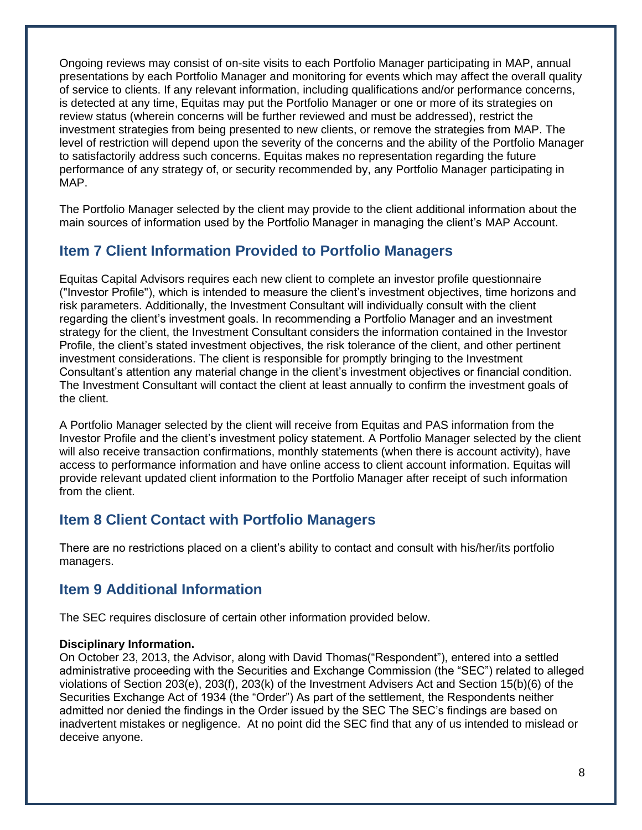Ongoing reviews may consist of on-site visits to each Portfolio Manager participating in MAP, annual presentations by each Portfolio Manager and monitoring for events which may affect the overall quality of service to clients. If any relevant information, including qualifications and/or performance concerns, is detected at any time, Equitas may put the Portfolio Manager or one or more of its strategies on review status (wherein concerns will be further reviewed and must be addressed), restrict the investment strategies from being presented to new clients, or remove the strategies from MAP. The level of restriction will depend upon the severity of the concerns and the ability of the Portfolio Manager to satisfactorily address such concerns. Equitas makes no representation regarding the future performance of any strategy of, or security recommended by, any Portfolio Manager participating in MAP.

The Portfolio Manager selected by the client may provide to the client additional information about the main sources of information used by the Portfolio Manager in managing the client's MAP Account.

## <span id="page-7-0"></span>**Item 7 Client Information Provided to Portfolio Managers**

Equitas Capital Advisors requires each new client to complete an investor profile questionnaire ("Investor Profile"), which is intended to measure the client's investment objectives, time horizons and risk parameters. Additionally, the Investment Consultant will individually consult with the client regarding the client's investment goals. In recommending a Portfolio Manager and an investment strategy for the client, the Investment Consultant considers the information contained in the Investor Profile, the client's stated investment objectives, the risk tolerance of the client, and other pertinent investment considerations. The client is responsible for promptly bringing to the Investment Consultant's attention any material change in the client's investment objectives or financial condition. The Investment Consultant will contact the client at least annually to confirm the investment goals of the client.

A Portfolio Manager selected by the client will receive from Equitas and PAS information from the Investor Profile and the client's investment policy statement. A Portfolio Manager selected by the client will also receive transaction confirmations, monthly statements (when there is account activity), have access to performance information and have online access to client account information. Equitas will provide relevant updated client information to the Portfolio Manager after receipt of such information from the client.

#### <span id="page-7-1"></span>**Item 8 Client Contact with Portfolio Managers**

There are no restrictions placed on a client's ability to contact and consult with his/her/its portfolio managers.

## <span id="page-7-2"></span>**Item 9 Additional Information**

The SEC requires disclosure of certain other information provided below.

#### **Disciplinary Information.**

On October 23, 2013, the Advisor, along with David Thomas("Respondent"), entered into a settled administrative proceeding with the Securities and Exchange Commission (the "SEC") related to alleged violations of Section 203(e), 203(f), 203(k) of the Investment Advisers Act and Section 15(b)(6) of the Securities Exchange Act of 1934 (the "Order") As part of the settlement, the Respondents neither admitted nor denied the findings in the Order issued by the SEC The SEC's findings are based on inadvertent mistakes or negligence. At no point did the SEC find that any of us intended to mislead or deceive anyone.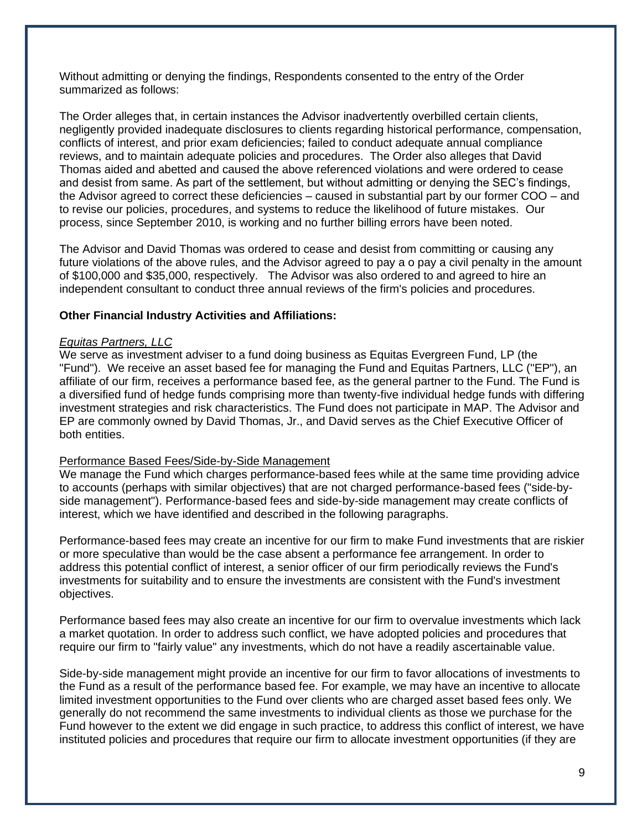Without admitting or denying the findings, Respondents consented to the entry of the Order summarized as follows:

The Order alleges that, in certain instances the Advisor inadvertently overbilled certain clients, negligently provided inadequate disclosures to clients regarding historical performance, compensation, conflicts of interest, and prior exam deficiencies; failed to conduct adequate annual compliance reviews, and to maintain adequate policies and procedures. The Order also alleges that David Thomas aided and abetted and caused the above referenced violations and were ordered to cease and desist from same. As part of the settlement, but without admitting or denying the SEC's findings, the Advisor agreed to correct these deficiencies – caused in substantial part by our former COO – and to revise our policies, procedures, and systems to reduce the likelihood of future mistakes. Our process, since September 2010, is working and no further billing errors have been noted.

The Advisor and David Thomas was ordered to cease and desist from committing or causing any future violations of the above rules, and the Advisor agreed to pay a o pay a civil penalty in the amount of \$100,000 and \$35,000, respectively. The Advisor was also ordered to and agreed to hire an independent consultant to conduct three annual reviews of the firm's policies and procedures.

#### **Other Financial Industry Activities and Affiliations:**

#### *Equitas Partners, LLC*

We serve as investment adviser to a fund doing business as Equitas Evergreen Fund, LP (the "Fund"). We receive an asset based fee for managing the Fund and Equitas Partners, LLC ("EP"), an affiliate of our firm, receives a performance based fee, as the general partner to the Fund. The Fund is a diversified fund of hedge funds comprising more than twenty-five individual hedge funds with differing investment strategies and risk characteristics. The Fund does not participate in MAP. The Advisor and EP are commonly owned by David Thomas, Jr., and David serves as the Chief Executive Officer of both entities.

#### Performance Based Fees/Side-by-Side Management

We manage the Fund which charges performance-based fees while at the same time providing advice to accounts (perhaps with similar objectives) that are not charged performance-based fees ("side-byside management"). Performance-based fees and side-by-side management may create conflicts of interest, which we have identified and described in the following paragraphs.

Performance-based fees may create an incentive for our firm to make Fund investments that are riskier or more speculative than would be the case absent a performance fee arrangement. In order to address this potential conflict of interest, a senior officer of our firm periodically reviews the Fund's investments for suitability and to ensure the investments are consistent with the Fund's investment objectives.

Performance based fees may also create an incentive for our firm to overvalue investments which lack a market quotation. In order to address such conflict, we have adopted policies and procedures that require our firm to "fairly value" any investments, which do not have a readily ascertainable value.

Side-by-side management might provide an incentive for our firm to favor allocations of investments to the Fund as a result of the performance based fee. For example, we may have an incentive to allocate limited investment opportunities to the Fund over clients who are charged asset based fees only. We generally do not recommend the same investments to individual clients as those we purchase for the Fund however to the extent we did engage in such practice, to address this conflict of interest, we have instituted policies and procedures that require our firm to allocate investment opportunities (if they are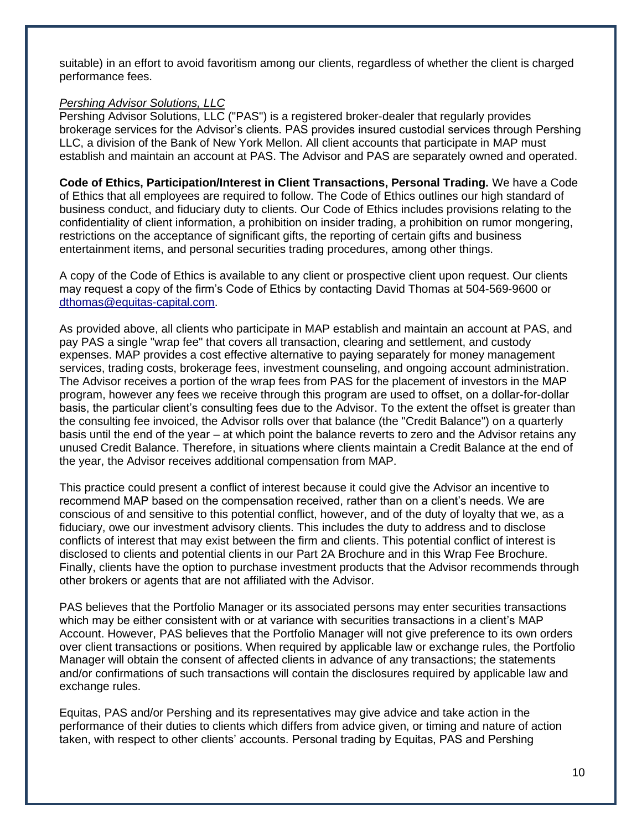suitable) in an effort to avoid favoritism among our clients, regardless of whether the client is charged performance fees.

#### *Pershing Advisor Solutions, LLC*

Pershing Advisor Solutions, LLC ("PAS") is a registered broker-dealer that regularly provides brokerage services for the Advisor's clients. PAS provides insured custodial services through Pershing LLC, a division of the Bank of New York Mellon. All client accounts that participate in MAP must establish and maintain an account at PAS. The Advisor and PAS are separately owned and operated.

**Code of Ethics, Participation/Interest in Client Transactions, Personal Trading.** We have a Code of Ethics that all employees are required to follow. The Code of Ethics outlines our high standard of business conduct, and fiduciary duty to clients. Our Code of Ethics includes provisions relating to the confidentiality of client information, a prohibition on insider trading, a prohibition on rumor mongering, restrictions on the acceptance of significant gifts, the reporting of certain gifts and business entertainment items, and personal securities trading procedures, among other things.

A copy of the Code of Ethics is available to any client or prospective client upon request. Our clients may request a copy of the firm's Code of Ethics by contacting David Thomas at 504-569-9600 or [dthomas@equitas-capital.com.](mailto:dthomas@equitas-capital.com)

As provided above, all clients who participate in MAP establish and maintain an account at PAS, and pay PAS a single "wrap fee" that covers all transaction, clearing and settlement, and custody expenses. MAP provides a cost effective alternative to paying separately for money management services, trading costs, brokerage fees, investment counseling, and ongoing account administration. The Advisor receives a portion of the wrap fees from PAS for the placement of investors in the MAP program, however any fees we receive through this program are used to offset, on a dollar-for-dollar basis, the particular client's consulting fees due to the Advisor. To the extent the offset is greater than the consulting fee invoiced, the Advisor rolls over that balance (the "Credit Balance") on a quarterly basis until the end of the year – at which point the balance reverts to zero and the Advisor retains any unused Credit Balance. Therefore, in situations where clients maintain a Credit Balance at the end of the year, the Advisor receives additional compensation from MAP.

This practice could present a conflict of interest because it could give the Advisor an incentive to recommend MAP based on the compensation received, rather than on a client's needs. We are conscious of and sensitive to this potential conflict, however, and of the duty of loyalty that we, as a fiduciary, owe our investment advisory clients. This includes the duty to address and to disclose conflicts of interest that may exist between the firm and clients. This potential conflict of interest is disclosed to clients and potential clients in our Part 2A Brochure and in this Wrap Fee Brochure. Finally, clients have the option to purchase investment products that the Advisor recommends through other brokers or agents that are not affiliated with the Advisor.

PAS believes that the Portfolio Manager or its associated persons may enter securities transactions which may be either consistent with or at variance with securities transactions in a client's MAP Account. However, PAS believes that the Portfolio Manager will not give preference to its own orders over client transactions or positions. When required by applicable law or exchange rules, the Portfolio Manager will obtain the consent of affected clients in advance of any transactions; the statements and/or confirmations of such transactions will contain the disclosures required by applicable law and exchange rules.

Equitas, PAS and/or Pershing and its representatives may give advice and take action in the performance of their duties to clients which differs from advice given, or timing and nature of action taken, with respect to other clients' accounts. Personal trading by Equitas, PAS and Pershing